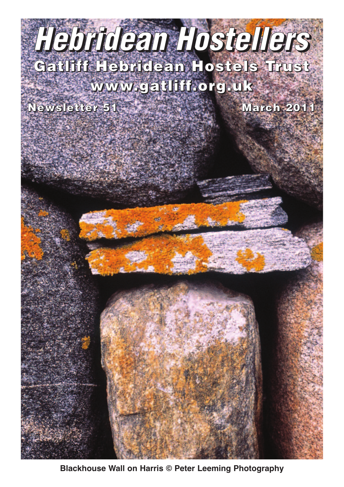# **Gatliff Hebridean Hostels Trust** *Hebridean Hostellers*

## **www.gatliff.org.uk**

**Newsletter 51 March 2011**

**Blackhouse Wall on Harris © Peter Leeming Photography**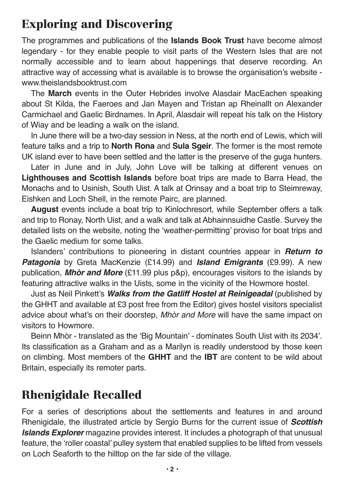## **Exploring and Discovering**

The programmes and publications of the **Islands Book Trust** have become almost legendary - for they enable people to visit parts of the Western Isles that are not normally accessible and to learn about happenings that deserve recording. An attractive way of accessing what is available is to browse the organisation's website www.theislandsbooktrust.com

The **March** events in the Outer Hebrides involve Alasdair MacEachen speaking about St Kilda, the Faeroes and Jan Mayen and Tristan ap Rheinallt on Alexander Carmichael and Gaelic Birdnames. In April, Alasdair will repeat his talk on the History of Wiay and be leading a walk on the island.

In June there will be a two-day session in Ness, at the north end of Lewis, which will feature talks and a trip to **North Rona** and **Sula Sgeir**. The former is the most remote UK island ever to have been settled and the latter is the preserve of the guga hunters.

Later in June and in July, John Love will be talking at different venues on **Lighthouses and Scottish Islands** before boat trips are made to Barra Head, the Monachs and to Usinish, South Uist. A talk at Orinsay and a boat trip to Steimreway, Eishken and Loch Shell, in the remote Pairc, are planned.

**August** events include a boat trip to Kinlochresort, while September offers a talk and trip to Ronay, North Uist, and a walk and talk at Abhainnsuidhe Castle. Survey the detailed lists on the website, noting the 'weather-permitting' proviso for boat trips and the Gaelic medium for some talks.

Islanders' contributions to pioneering in distant countries appear in *Return to Patagonia* by Greta MacKenzie (£14.99) and *Island Emigrants* (£9.99). A new publication, *Mhòr and More* (£11.99 plus p&p)*,* encourages visitors to the islands by featuring attractive walks in the Uists, some in the vicinity of the Howmore hostel.

Just as Neil Pinkett's *Walks from the Gatliff Hostel at Reinigeadal* (published by the GHHT and available at £3 post free from the Editor) gives hostel visitors specialist advice about what's on their doorstep, *Mhòr and More* will have the same impact on visitors to Howmore.

Beinn Mhòr - translated as the 'Big Mountain' - dominates South Uist with its 2034'. Its classification as a Graham and as a Marilyn is readily understood by those keen on climbing. Most members of the **GHHT** and the **IBT** are content to be wild about Britain, especially its remoter parts.

## **Rhenigidale Recalled**

For a series of descriptions about the settlements and features in and around Rhenigidale, the illustrated article by Sergio Burns for the current issue of *Scottish Islands Explorer* magazine provides interest. It includes a photograph of that unusual feature, the 'roller coastal' pulley system that enabled supplies to be lifted from vessels on Loch Seaforth to the hilltop on the far side of the village.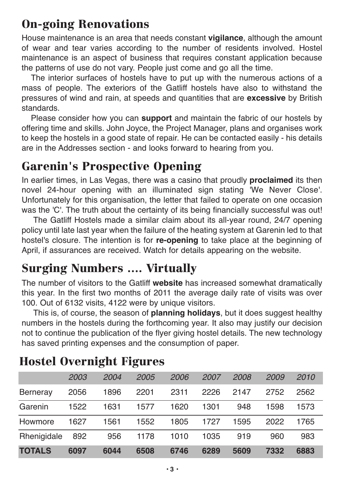## **On-going Renovations**

House maintenance is an area that needs constant **vigilance**, although the amount of wear and tear varies according to the number of residents involved. Hostel maintenance is an aspect of business that requires constant application because the patterns of use do not vary. People just come and go all the time.

The interior surfaces of hostels have to put up with the numerous actions of a mass of people. The exteriors of the Gatliff hostels have also to withstand the pressures of wind and rain, at speeds and quantities that are **excessive** by British standards.

Please consider how you can **support** and maintain the fabric of our hostels by offering time and skills. John Joyce, the Project Manager, plans and organises work to keep the hostels in a good state of repair. He can be contacted easily - his details are in the Addresses section - and looks forward to hearing from you.

## **Garenin's Prospective Opening**

In earlier times, in Las Vegas, there was a casino that proudly **proclaimed** its then novel 24-hour opening with an illuminated sign stating 'We Never Close'. Unfortunately for this organisation, the letter that failed to operate on one occasion was the 'C'. The truth about the certainty of its being financially successful was out!

The Gatliff Hostels made a similar claim about its all-year round, 24/7 opening policy until late last year when the failure of the heating system at Garenin led to that hostel's closure. The intention is for **re-opening** to take place at the beginning of April, if assurances are received. Watch for details appearing on the website.

## **Surging Numbers …. Virtually**

The number of visitors to the Gatliff **website** has increased somewhat dramatically this year. In the first two months of 2011 the average daily rate of visits was over 100. Out of 6132 visits, 4122 were by unique visitors.

This is, of course, the season of **planning holidays**, but it does suggest healthy numbers in the hostels during the forthcoming year. It also may justify our decision not to continue the publication of the flyer giving hostel details. The new technology has saved printing expenses and the consumption of paper.

|               | 2003 | 2004 | 2005 | 2006 | 2007 | 2008 | <i>2009</i> | 2010 |
|---------------|------|------|------|------|------|------|-------------|------|
| Berneray      | 2056 | 1896 | 2201 | 2311 | 2226 | 2147 | 2752        | 2562 |
| Garenin       | 1522 | 1631 | 1577 | 1620 | 1301 | 948  | 1598        | 1573 |
| Howmore       | 1627 | 1561 | 1552 | 1805 | 1727 | 1595 | 2022        | 1765 |
| Rhenigidale   | 892  | 956  | 1178 | 1010 | 1035 | 919  | 960         | 983  |
| <b>TOTALS</b> | 6097 | 6044 | 6508 | 6746 | 6289 | 5609 | 7332        | 6883 |

## **Hostel Overnight Figures**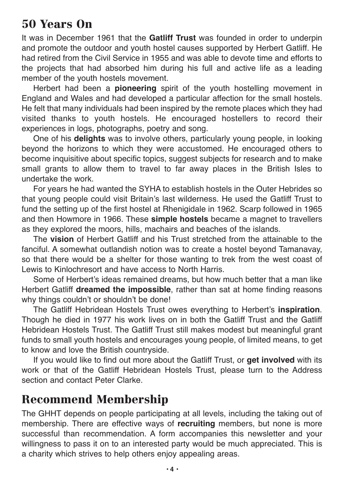## **50 Years On**

It was in December 1961 that the **Gatliff Trust** was founded in order to underpin and promote the outdoor and youth hostel causes supported by Herbert Gatliff. He had retired from the Civil Service in 1955 and was able to devote time and efforts to the projects that had absorbed him during his full and active life as a leading member of the youth hostels movement.

Herbert had been a **pioneering** spirit of the youth hostelling movement in England and Wales and had developed a particular affection for the small hostels. He felt that many individuals had been inspired by the remote places which they had visited thanks to youth hostels. He encouraged hostellers to record their experiences in logs, photographs, poetry and song.

One of his **delights** was to involve others, particularly young people, in looking beyond the horizons to which they were accustomed. He encouraged others to become inquisitive about specific topics, suggest subjects for research and to make small grants to allow them to travel to far away places in the British Isles to undertake the work.

For years he had wanted the SYHA to establish hostels in the Outer Hebrides so that young people could visit Britain's last wilderness. He used the Gatliff Trust to fund the setting up of the first hostel at Rhenigidale in 1962. Scarp followed in 1965 and then Howmore in 1966. These **simple hostels** became a magnet to travellers as they explored the moors, hills, machairs and beaches of the islands.

The **vision** of Herbert Gatliff and his Trust stretched from the attainable to the fanciful. A somewhat outlandish notion was to create a hostel beyond Tamanavay, so that there would be a shelter for those wanting to trek from the west coast of Lewis to Kinlochresort and have access to North Harris.

Some of Herbert's ideas remained dreams, but how much better that a man like Herbert Gatliff **dreamed the impossible**, rather than sat at home finding reasons why things couldn't or shouldn't be done!

The Gatliff Hebridean Hostels Trust owes everything to Herbert's **inspiration**. Though he died in 1977 his work lives on in both the Gatliff Trust and the Gatliff Hebridean Hostels Trust. The Gatliff Trust still makes modest but meaningful grant funds to small youth hostels and encourages young people, of limited means, to get to know and love the British countryside.

If you would like to find out more about the Gatliff Trust, or **get involved** with its work or that of the Gatliff Hebridean Hostels Trust, please turn to the Address section and contact Peter Clarke.

#### **Recommend Membership**

The GHHT depends on people participating at all levels, including the taking out of membership. There are effective ways of **recruiting** members, but none is more successful than recommendation. A form accompanies this newsletter and your willingness to pass it on to an interested party would be much appreciated. This is a charity which strives to help others enjoy appealing areas.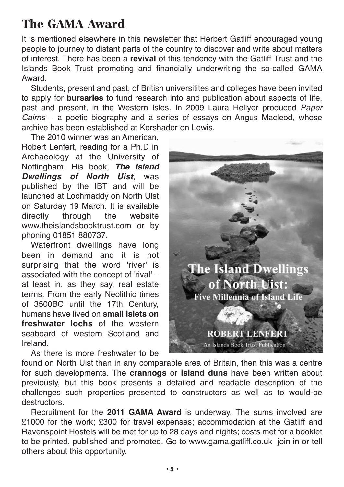## **The GAMA Award**

It is mentioned elsewhere in this newsletter that Herbert Gatliff encouraged young people to journey to distant parts of the country to discover and write about matters of interest. There has been a **revival** of this tendency with the Gatliff Trust and the Islands Book Trust promoting and financially underwriting the so-called GAMA Award.

Students, present and past, of British universitites and colleges have been invited to apply for **bursaries** to fund research into and publication about aspects of life, past and present, in the Western Isles. In 2009 Laura Hellyer produced *Paper Cairns* – a poetic biography and a series of essays on Angus Macleod, whose archive has been established at Kershader on Lewis.

The 2010 winner was an American, Robert Lenfert, reading for a Ph.D in Archaeology at the University of Nottingham. His book, *The Island Dwellings of North Uist,* was published by the IBT and will be launched at Lochmaddy on North Uist on Saturday 19 March. It is available directly through the website www.theislandsbooktrust.com or by phoning 01851 880737.

Waterfront dwellings have long been in demand and it is not surprising that the word 'river' is associated with the concept of 'rival' – at least in, as they say, real estate terms. From the early Neolithic times of 3500BC until the 17th Century, humans have lived on **small islets on freshwater lochs** of the western seaboard of western Scotland and Ireland.

As there is more freshwater to be



found on North Uist than in any comparable area of Britain, then this was a centre for such developments. The **crannogs** or **island duns** have been written about previously, but this book presents a detailed and readable description of the challenges such properties presented to constructors as well as to would-be destructors.

Recruitment for the **2011 GAMA Award** is underway. The sums involved are £1000 for the work; £300 for travel expenses; accommodation at the Gatliff and Ravenspoint Hostels will be met for up to 28 days and nights; costs met for a booklet to be printed, published and promoted. Go to www.gama.gatliff.co.uk join in or tell others about this opportunity.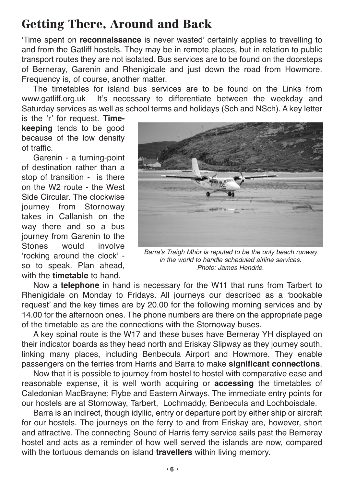## **Getting There, Around and Back**

'Time spent on **reconnaissance** is never wasted' certainly applies to travelling to and from the Gatliff hostels. They may be in remote places, but in relation to public transport routes they are not isolated. Bus services are to be found on the doorsteps of Berneray, Garenin and Rhenigidale and just down the road from Howmore. Frequency is, of course, another matter.

The timetables for island bus services are to be found on the Links from www.gatliff.org.uk It's necessary to differentiate between the weekday and Saturday services as well as school terms and holidays (Sch and NSch). A key letter

is the 'r' for request. **Timekeeping** tends to be good because of the low density of traffic.

Garenin - a turning-point of destination rather than a stop of transition - is there on the W2 route - the West Side Circular. The clockwise journey from Stornoway takes in Callanish on the way there and so a bus journey from Garenin to the Stones would involve 'rocking around the clock' so to speak. Plan ahead, with the **timetable** to hand.



*Barra's Traigh Mhòr is reputed to be the only beach runway in the world to handle scheduled airline services. Photo: James Hendrie.*

Now a **telephone** in hand is necessary for the W11 that runs from Tarbert to Rhenigidale on Monday to Fridays. All journeys our described as a 'bookable request' and the key times are by 20.00 for the following morning services and by 14.00 for the afternoon ones. The phone numbers are there on the appropriate page of the timetable as are the connections with the Stornoway buses.

A key spinal route is the W17 and these buses have Berneray YH displayed on their indicator boards as they head north and Eriskay Slipway as they journey south, linking many places, including Benbecula Airport and Howmore. They enable passengers on the ferries from Harris and Barra to make **significant connections**.

Now that it is possible to journey from hostel to hostel with comparative ease and reasonable expense, it is well worth acquiring or **accessing** the timetables of Caledonian MacBrayne; Flybe and Eastern Airways. The immediate entry points for our hostels are at Stornoway, Tarbert, Lochmaddy, Benbecula and Lochboisdale.

Barra is an indirect, though idyllic, entry or departure port by either ship or aircraft for our hostels. The journeys on the ferry to and from Eriskay are, however, short and attractive. The connecting Sound of Harris ferry service sails past the Berneray hostel and acts as a reminder of how well served the islands are now, compared with the tortuous demands on island **travellers** within living memory.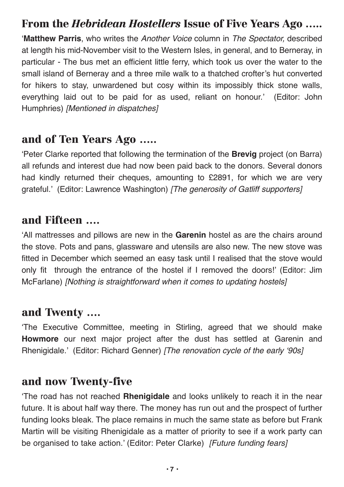#### **From the** *Hebridean Hostellers* **Issue of Five Years Ago …..**

'**Matthew Parris**, who writes the *Another Voice* column in *The Spectator,* described at length his mid-November visit to the Western Isles, in general, and to Berneray, in particular - The bus met an efficient little ferry, which took us over the water to the small island of Berneray and a three mile walk to a thatched crofter's hut converted for hikers to stay, unwardened but cosy within its impossibly thick stone walls, everything laid out to be paid for as used, reliant on honour.' (Editor: John Humphries) *[Mentioned in dispatches]*

#### **and of Ten Years Ago …..**

'Peter Clarke reported that following the termination of the **Brevig** project (on Barra) all refunds and interest due had now been paid back to the donors. Several donors had kindly returned their cheques, amounting to £2891, for which we are very grateful.' (Editor: Lawrence Washington) *[The generosity of Gatliff supporters]*

#### **and Fifteen ….**

'All mattresses and pillows are new in the **Garenin** hostel as are the chairs around the stove. Pots and pans, glassware and utensils are also new. The new stove was fitted in December which seemed an easy task until I realised that the stove would only fit through the entrance of the hostel if I removed the doors!' (Editor: Jim McFarlane) *[Nothing is straightforward when it comes to updating hostels]*

#### **and Twenty ….**

'The Executive Committee, meeting in Stirling, agreed that we should make **Howmore** our next major project after the dust has settled at Garenin and Rhenigidale.' (Editor: Richard Genner) *[The renovation cycle of the early '90s]*

#### **and now Twenty-five**

'The road has not reached **Rhenigidale** and looks unlikely to reach it in the near future. It is about half way there. The money has run out and the prospect of further funding looks bleak. The place remains in much the same state as before but Frank Martin will be visiting Rhenigidale as a matter of priority to see if a work party can be organised to take action.' (Editor: Peter Clarke) *[Future funding fears]*